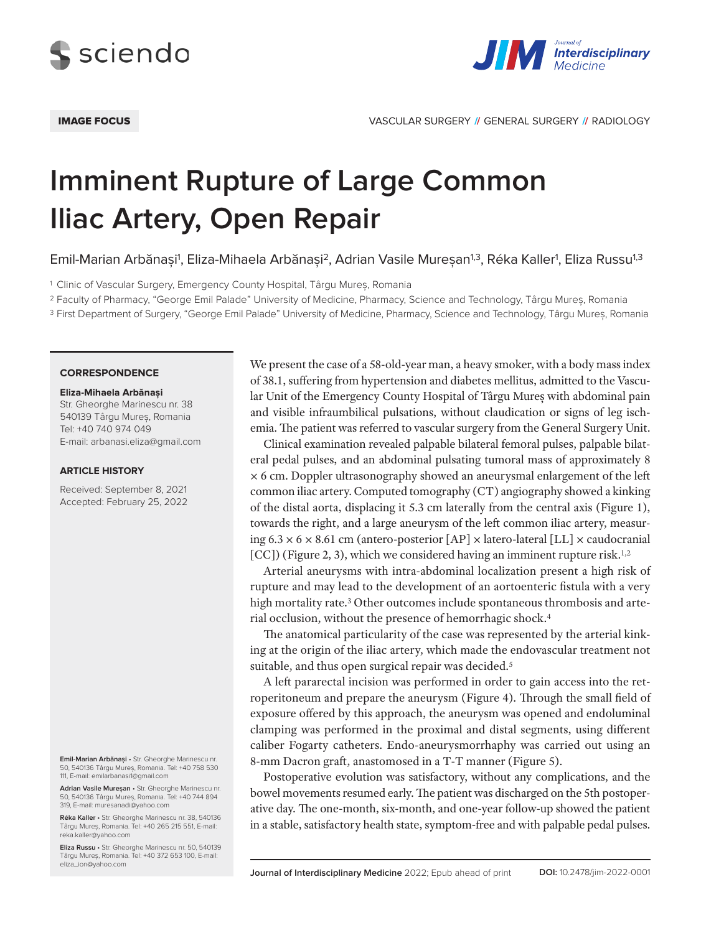



IMAGE FOCUS VASCULAR SURGERY **//** GENERAL SURGERY **//** RADIOLOGY

# **Imminent Rupture of Large Common Iliac Artery, Open Repair**

Emil-Marian Arbănași<sup>1</sup>, Eliza-Mihaela Arbănași<sup>2</sup>, Adrian Vasile Mureșan<sup>1,3</sup>, Réka Kaller<sup>1</sup>, Eliza Russu<sup>1,3</sup>

<sup>1</sup> Clinic of Vascular Surgery, Emergency County Hospital, Târgu Mureș, Romania

<sup>2</sup> Faculty of Pharmacy, "George Emil Palade" University of Medicine, Pharmacy, Science and Technology, Târgu Mureș, Romania

<sup>3</sup> First Department of Surgery, "George Emil Palade" University of Medicine, Pharmacy, Science and Technology, Târgu Mureș, Romania

### **CORRESPONDENCE**

#### **Eliza-Mihaela Arbănași**

Str. Gheorghe Marinescu nr. 38 540139 Târgu Mureș, Romania Tel: +40 740 974 049 E-mail: arbanasi.eliza@gmail.com

## **ARTICLE HISTORY**

Received: September 8, 2021 Accepted: February 25, 2022

**Emil-Marian Arbănași** • Str. Gheorghe Marinescu nr. 50, 540136 Târgu Mureș, Romania. Tel: +40 758 530 111, E-mail: emilarbanasi1@gmail.com

**Adrian Vasile Mureșan** • Str. Gheorghe Marinescu nr. 50, 540136 Târgu Mureș, Romania. Tel: +40 744 894 319, E-mail: muresanadi@yahoo.com

**Réka Kaller** • Str. Gheorghe Marinescu nr. 38, 540136 Târgu Mureș, Romania. Tel: +40 265 215 551, E-mail: reka.kaller@yahoo.com

**Eliza Russu** • Str. Gheorghe Marinescu nr. 50, 540139 Târgu Mureș, Romania. Tel: +40 372 653 100, E-mail: eliza\_ion@yahoo.com

We present the case of a 58-old-year man, a heavy smoker, with a body mass index of 38.1, suffering from hypertension and diabetes mellitus, admitted to the Vascular Unit of the Emergency County Hospital of Târgu Mureș with abdominal pain and visible infraumbilical pulsations, without claudication or signs of leg ischemia. The patient was referred to vascular surgery from the General Surgery Unit.

Clinical examination revealed palpable bilateral femoral pulses, palpable bilateral pedal pulses, and an abdominal pulsating tumoral mass of approximately 8 × 6 cm. Doppler ultrasonography showed an aneurysmal enlargement of the left common iliac artery. Computed tomography (CT) angiography showed a kinking of the distal aorta, displacing it 5.3 cm laterally from the central axis (Figure 1), towards the right, and a large aneurysm of the left common iliac artery, measuring  $6.3 \times 6 \times 8.61$  cm (antero-posterior  $[AP] \times$  latero-lateral  $[LL] \times$  caudocranial [CC]) (Figure 2, 3), which we considered having an imminent rupture risk.<sup>1,2</sup>

Arterial aneurysms with intra-abdominal localization present a high risk of rupture and may lead to the development of an aortoenteric fistula with a very high mortality rate.<sup>3</sup> Other outcomes include spontaneous thrombosis and arterial occlusion, without the presence of hemorrhagic shock.4

The anatomical particularity of the case was represented by the arterial kinking at the origin of the iliac artery, which made the endovascular treatment not suitable, and thus open surgical repair was decided.<sup>5</sup>

A left pararectal incision was performed in order to gain access into the retroperitoneum and prepare the aneurysm (Figure 4). Through the small field of exposure offered by this approach, the aneurysm was opened and endoluminal clamping was performed in the proximal and distal segments, using different caliber Fogarty catheters. Endo-aneurysmorrhaphy was carried out using an 8-mm Dacron graft, anastomosed in a T-T manner (Figure 5).

Postoperative evolution was satisfactory, without any complications, and the bowel movements resumed early. The patient was discharged on the 5th postoperative day. The one-month, six-month, and one-year follow-up showed the patient in a stable, satisfactory health state, symptom-free and with palpable pedal pulses.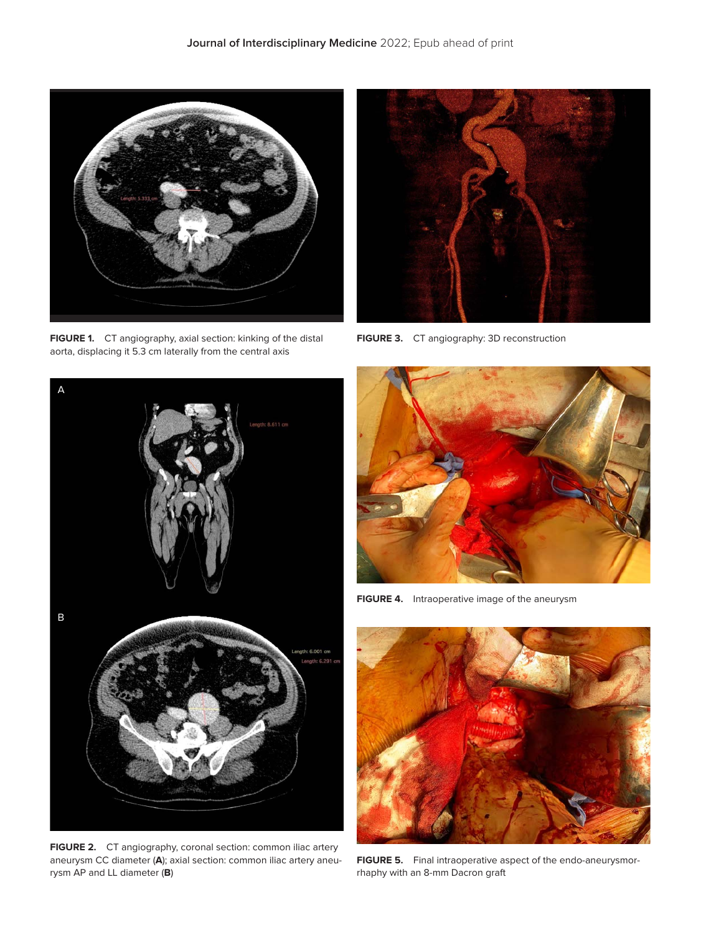

**FIGURE 1.** CT angiography, axial section: kinking of the distal aorta, displacing it 5.3 cm laterally from the central axis



**FIGURE 3.** CT angiography: 3D reconstruction



**FIGURE 2.** CT angiography, coronal section: common iliac artery aneurysm CC diameter (**A**); axial section: common iliac artery aneurysm AP and LL diameter (**B**)



**FIGURE 4.** Intraoperative image of the aneurysm



**FIGURE 5.** Final intraoperative aspect of the endo-aneurysmorrhaphy with an 8-mm Dacron graft